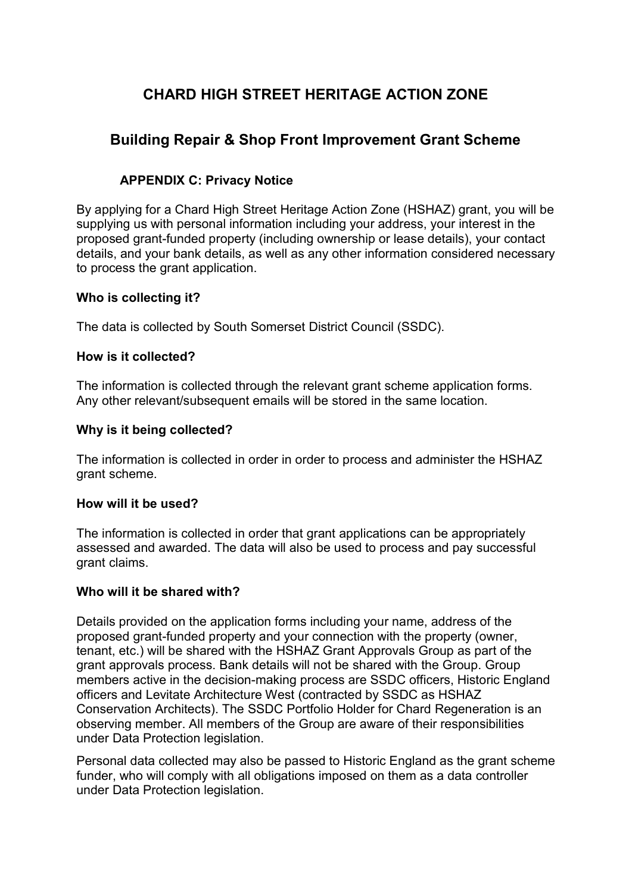# CHARD HIGH STREET HERITAGE ACTION ZONE

## Building Repair & Shop Front Improvement Grant Scheme

## APPENDIX C: Privacy Notice

By applying for a Chard High Street Heritage Action Zone (HSHAZ) grant, you will be supplying us with personal information including your address, your interest in the proposed grant-funded property (including ownership or lease details), your contact details, and your bank details, as well as any other information considered necessary to process the grant application.

## Who is collecting it?

The data is collected by South Somerset District Council (SSDC).

## How is it collected?

The information is collected through the relevant grant scheme application forms. Any other relevant/subsequent emails will be stored in the same location.

## Why is it being collected?

The information is collected in order in order to process and administer the HSHAZ grant scheme.

#### How will it be used?

The information is collected in order that grant applications can be appropriately assessed and awarded. The data will also be used to process and pay successful grant claims.

#### Who will it be shared with?

Details provided on the application forms including your name, address of the proposed grant-funded property and your connection with the property (owner, tenant, etc.) will be shared with the HSHAZ Grant Approvals Group as part of the grant approvals process. Bank details will not be shared with the Group. Group members active in the decision-making process are SSDC officers, Historic England officers and Levitate Architecture West (contracted by SSDC as HSHAZ Conservation Architects). The SSDC Portfolio Holder for Chard Regeneration is an observing member. All members of the Group are aware of their responsibilities under Data Protection legislation.

Personal data collected may also be passed to Historic England as the grant scheme funder, who will comply with all obligations imposed on them as a data controller under Data Protection legislation.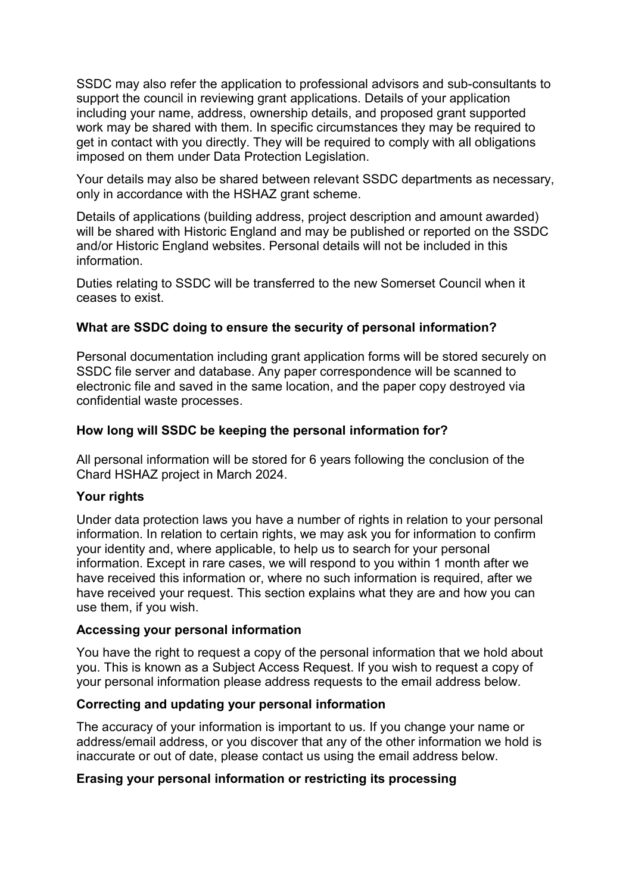SSDC may also refer the application to professional advisors and sub-consultants to support the council in reviewing grant applications. Details of your application including your name, address, ownership details, and proposed grant supported work may be shared with them. In specific circumstances they may be required to get in contact with you directly. They will be required to comply with all obligations imposed on them under Data Protection Legislation.

Your details may also be shared between relevant SSDC departments as necessary, only in accordance with the HSHAZ grant scheme.

Details of applications (building address, project description and amount awarded) will be shared with Historic England and may be published or reported on the SSDC and/or Historic England websites. Personal details will not be included in this information.

Duties relating to SSDC will be transferred to the new Somerset Council when it ceases to exist.

## What are SSDC doing to ensure the security of personal information?

Personal documentation including grant application forms will be stored securely on SSDC file server and database. Any paper correspondence will be scanned to electronic file and saved in the same location, and the paper copy destroyed via confidential waste processes.

## How long will SSDC be keeping the personal information for?

All personal information will be stored for 6 years following the conclusion of the Chard HSHAZ project in March 2024.

#### Your rights

Under data protection laws you have a number of rights in relation to your personal information. In relation to certain rights, we may ask you for information to confirm your identity and, where applicable, to help us to search for your personal information. Except in rare cases, we will respond to you within 1 month after we have received this information or, where no such information is required, after we have received your request. This section explains what they are and how you can use them, if you wish.

#### Accessing your personal information

You have the right to request a copy of the personal information that we hold about you. This is known as a Subject Access Request. If you wish to request a copy of your personal information please address requests to the email address below.

#### Correcting and updating your personal information

The accuracy of your information is important to us. If you change your name or address/email address, or you discover that any of the other information we hold is inaccurate or out of date, please contact us using the email address below.

#### Erasing your personal information or restricting its processing